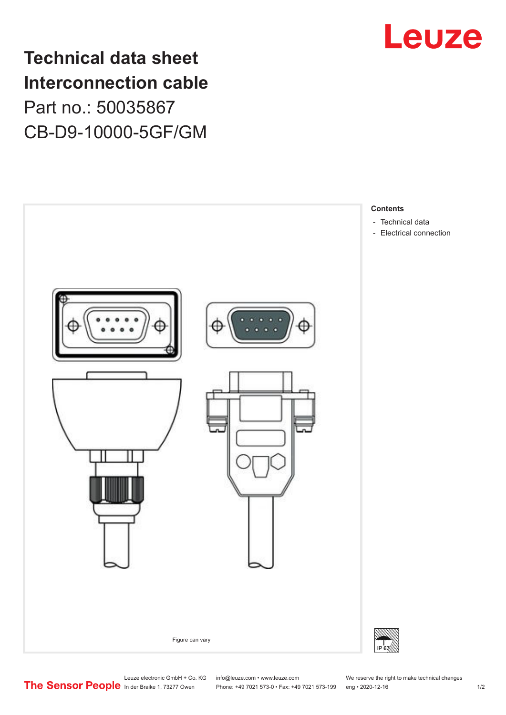

**Technical data sheet Interconnection cable** Part no.: 50035867 CB-D9-10000-5GF/GM



Leuze electronic GmbH + Co. KG info@leuze.com • www.leuze.com We reserve the right to make technical changes<br>
The Sensor People in der Braike 1, 73277 Owen Phone: +49 7021 573-0 • Fax: +49 7021 573-199 eng • 2020-12-16

Phone: +49 7021 573-0 • Fax: +49 7021 573-199 eng • 2020-12-16